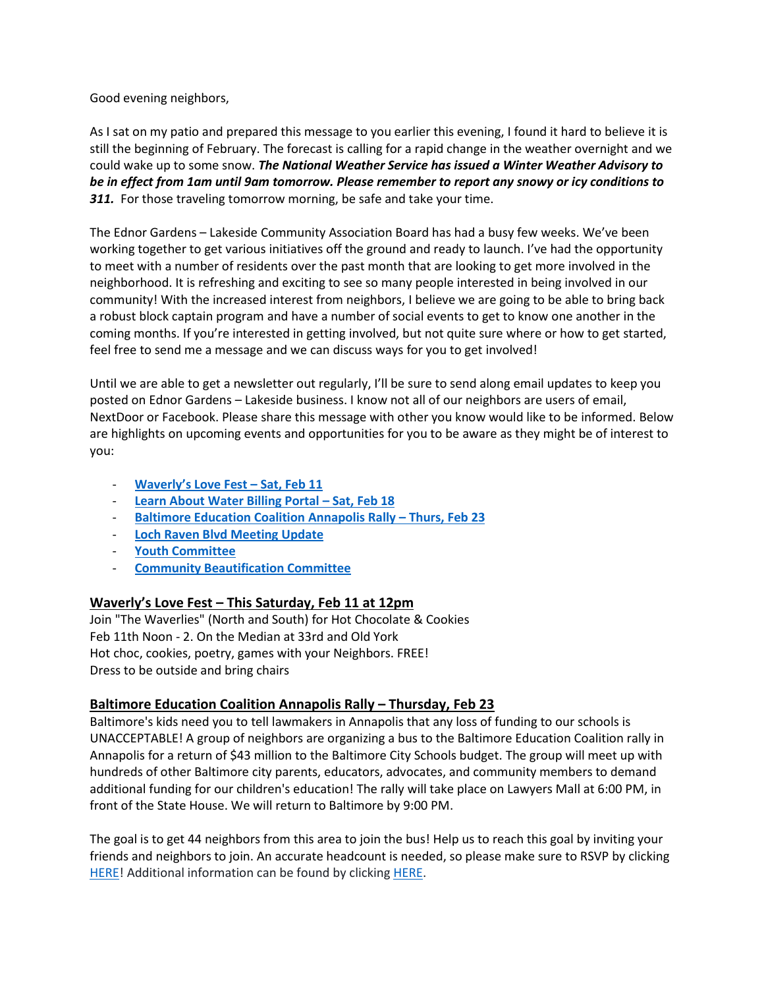Good evening neighbors,

As I sat on my patio and prepared this message to you earlier this evening, I found it hard to believe it is still the beginning of February. The forecast is calling for a rapid change in the weather overnight and we could wake up to some snow. *The National Weather Service has issued a Winter Weather Advisory to be in effect from 1am until 9am tomorrow. Please remember to report any snowy or icy conditions to*  311. For those traveling tomorrow morning, be safe and take your time.

The Ednor Gardens – Lakeside Community Association Board has had a busy few weeks. We've been working together to get various initiatives off the ground and ready to launch. I've had the opportunity to meet with a number of residents over the past month that are looking to get more involved in the neighborhood. It is refreshing and exciting to see so many people interested in being involved in our community! With the increased interest from neighbors, I believe we are going to be able to bring back a robust block captain program and have a number of social events to get to know one another in the coming months. If you're interested in getting involved, but not quite sure where or how to get started, feel free to send me a message and we can discuss ways for you to get involved!

Until we are able to get a newsletter out regularly, I'll be sure to send along email updates to keep you posted on Ednor Gardens – Lakeside business. I know not all of our neighbors are users of email, NextDoor or Facebook. Please share this message with other you know would like to be informed. Below are highlights on upcoming events and opportunities for you to be aware as they might be of interest to you:

- **Waverly['s Love Fest –](#page-0-0) Sat, Feb 11**
- **[Learn About Water Billing Portal](#page-1-0) – Sat, Feb 18**
- **[Baltimore Education Coalition Annapolis Rally](#page-0-1) – Thurs, Feb 23**
- **[Loch Raven Blvd Meeting Update](#page-1-1)**
- **[Youth Committee](#page-0-0)**
- **[Community Beautification Committee](#page-1-2)**

### <span id="page-0-0"></span>**Waverly's Love Fest – This Saturday, Feb 11 at 12pm**

Join "The Waverlies" (North and South) for Hot Chocolate & Cookies Feb 11th Noon - 2. On the Median at 33rd and Old York Hot choc, cookies, poetry, games with your Neighbors. FREE! Dress to be outside and bring chairs

# <span id="page-0-1"></span>**Baltimore Education Coalition Annapolis Rally – Thursday, Feb 23**

Baltimore's kids need you to tell lawmakers in Annapolis that any loss of funding to our schools is UNACCEPTABLE! A group of neighbors are organizing a bus to the Baltimore Education Coalition rally in Annapolis for a return of \$43 million to the Baltimore City Schools budget. The group will meet up with hundreds of other Baltimore city parents, educators, advocates, and community members to demand additional funding for our children's education! The rally will take place on Lawyers Mall at 6:00 PM, in front of the State House. We will return to Baltimore by 9:00 PM.

The goal is to get 44 neighbors from this area to join the bus! Help us to reach this goal by inviting your friends and neighbors to join. An accurate headcount is needed, so please make sure to RSVP by clicking [HERE!](https://goo.gl/forms/LFwdMlXxoqWRb92F3) Additional information can be found by clickin[g HERE.](https://www.facebook.com/events/1869324409968925/)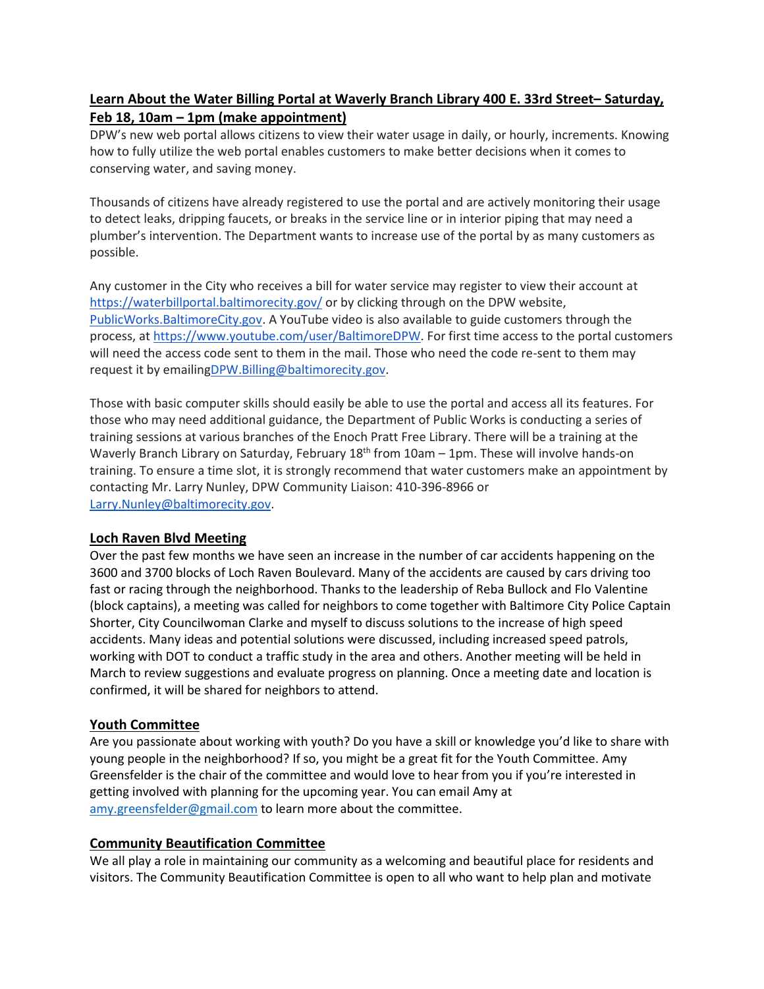# <span id="page-1-0"></span>**Learn About the Water Billing Portal at Waverly Branch Library 400 E. 33rd Street– Saturday, Feb 18, 10am – 1pm (make appointment)**

DPW's new web portal allows citizens to view their water usage in daily, or hourly, increments. Knowing how to fully utilize the web portal enables customers to make better decisions when it comes to conserving water, and saving money.

Thousands of citizens have already registered to use the portal and are actively monitoring their usage to detect leaks, dripping faucets, or breaks in the service line or in interior piping that may need a plumber's intervention. The Department wants to increase use of the portal by as many customers as possible.

Any customer in the City who receives a bill for water service may register to view their account at [https://waterbillportal.baltimorecity.gov/](http://links.govdelivery.com/track?type=click&enid=ZWFzPTEmbWFpbGluZ2lkPTIwMTcwMjAyLjY5NDk4NzAxJm1lc3NhZ2VpZD1NREItUFJELUJVTC0yMDE3MDIwMi42OTQ5ODcwMSZkYXRhYmFzZWlkPTEwMDEmc2VyaWFsPTE3MTY0OTY5JmVtYWlsaWQ9c2hhbmUuc2NvdHQuYnJ5YW5AZ21haWwuY29tJnVzZXJpZD1zaGFuZS5zY290dC5icnlhbkBnbWFpbC5jb20mZmw9JmV4dHJhPU11bHRpdmFyaWF0ZUlkPSYmJg==&&&101&&&https://waterbillportal.baltimorecity.gov/) or by clicking through on the DPW website[,](http://links.govdelivery.com/track?type=click&enid=ZWFzPTEmbWFpbGluZ2lkPTIwMTcwMjAyLjY5NDk4NzAxJm1lc3NhZ2VpZD1NREItUFJELUJVTC0yMDE3MDIwMi42OTQ5ODcwMSZkYXRhYmFzZWlkPTEwMDEmc2VyaWFsPTE3MTY0OTY5JmVtYWlsaWQ9c2hhbmUuc2NvdHQuYnJ5YW5AZ21haWwuY29tJnVzZXJpZD1zaGFuZS5zY290dC5icnlhbkBnbWFpbC5jb20mZmw9JmV4dHJhPU11bHRpdmFyaWF0ZUlkPSYmJg==&&&102&&&http://publicworks.baltimorecity.gov/) [PublicWorks.BaltimoreCity.gov.](http://links.govdelivery.com/track?type=click&enid=ZWFzPTEmbWFpbGluZ2lkPTIwMTcwMjAyLjY5NDk4NzAxJm1lc3NhZ2VpZD1NREItUFJELUJVTC0yMDE3MDIwMi42OTQ5ODcwMSZkYXRhYmFzZWlkPTEwMDEmc2VyaWFsPTE3MTY0OTY5JmVtYWlsaWQ9c2hhbmUuc2NvdHQuYnJ5YW5AZ21haWwuY29tJnVzZXJpZD1zaGFuZS5zY290dC5icnlhbkBnbWFpbC5jb20mZmw9JmV4dHJhPU11bHRpdmFyaWF0ZUlkPSYmJg==&&&102&&&http://publicworks.baltimorecity.gov/) A YouTube video is also available to guide customers through the process, at [https://www.youtube.com/user/BaltimoreDPW.](http://links.govdelivery.com/track?type=click&enid=ZWFzPTEmbWFpbGluZ2lkPTIwMTcwMjAyLjY5NDk4NzAxJm1lc3NhZ2VpZD1NREItUFJELUJVTC0yMDE3MDIwMi42OTQ5ODcwMSZkYXRhYmFzZWlkPTEwMDEmc2VyaWFsPTE3MTY0OTY5JmVtYWlsaWQ9c2hhbmUuc2NvdHQuYnJ5YW5AZ21haWwuY29tJnVzZXJpZD1zaGFuZS5zY290dC5icnlhbkBnbWFpbC5jb20mZmw9JmV4dHJhPU11bHRpdmFyaWF0ZUlkPSYmJg==&&&103&&&https://www.youtube.com/user/BaltimoreDPW) For first time access to the portal customers will need the access code sent to them in the mail. Those who need the code re-sent to them may request it by emailing DPW. Billing @baltimorecity.gov.

Those with basic computer skills should easily be able to use the portal and access all its features. For those who may need additional guidance, the Department of Public Works is conducting a series of training sessions at various branches of the Enoch Pratt Free Library. There will be a training at the Waverly Branch Library on Saturday, February 18<sup>th</sup> from 10am - 1pm. These will involve hands-on training. To ensure a time slot, it is strongly recommend that water customers make an appointment by contacting Mr. Larry Nunley, DPW Community Liaison: 410-396-8966 or [Larry.Nunley@baltimorecity.gov.](mailto:Larry.Nunley@baltimorecity.gov)

### <span id="page-1-1"></span>**Loch Raven Blvd Meeting**

Over the past few months we have seen an increase in the number of car accidents happening on the 3600 and 3700 blocks of Loch Raven Boulevard. Many of the accidents are caused by cars driving too fast or racing through the neighborhood. Thanks to the leadership of Reba Bullock and Flo Valentine (block captains), a meeting was called for neighbors to come together with Baltimore City Police Captain Shorter, City Councilwoman Clarke and myself to discuss solutions to the increase of high speed accidents. Many ideas and potential solutions were discussed, including increased speed patrols, working with DOT to conduct a traffic study in the area and others. Another meeting will be held in March to review suggestions and evaluate progress on planning. Once a meeting date and location is confirmed, it will be shared for neighbors to attend.

# **Youth Committee**

Are you passionate about working with youth? Do you have a skill or knowledge you'd like to share with young people in the neighborhood? If so, you might be a great fit for the Youth Committee. Amy Greensfelder is the chair of the committee and would love to hear from you if you're interested in getting involved with planning for the upcoming year. You can email Amy at [amy.greensfelder@gmail.com](mailto:amy.greensfelder@gmail.com) to learn more about the committee.

### <span id="page-1-2"></span>**Community Beautification Committee**

We all play a role in maintaining our community as a welcoming and beautiful place for residents and visitors. The Community Beautification Committee is open to all who want to help plan and motivate